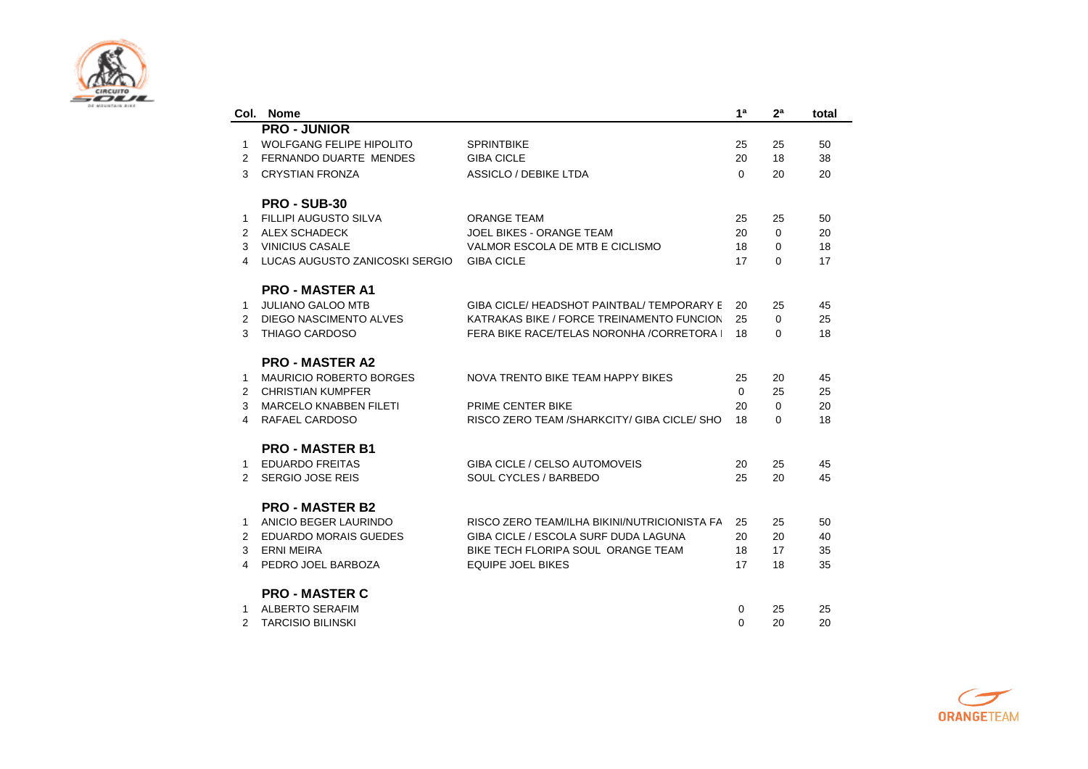

|               | Col. Nome                      |                                                | 1 <sup>a</sup> | 2 <sup>a</sup> | total |
|---------------|--------------------------------|------------------------------------------------|----------------|----------------|-------|
|               | <b>PRO - JUNIOR</b>            |                                                |                |                |       |
| 1             | WOLFGANG FELIPE HIPOLITO       | <b>SPRINTBIKE</b>                              | 25             | 25             | 50    |
| 2             | FERNANDO DUARTE MENDES         | <b>GIBA CICLE</b>                              | 20             | 18             | 38    |
| 3             | <b>CRYSTIAN FRONZA</b>         | <b>ASSICLO / DEBIKE LTDA</b>                   | $\Omega$       | 20             | 20    |
|               | <b>PRO - SUB-30</b>            |                                                |                |                |       |
| 1             | <b>FILLIPI AUGUSTO SILVA</b>   | <b>ORANGE TEAM</b>                             | 25             | 25             | 50    |
| 2             | <b>ALEX SCHADECK</b>           | JOEL BIKES - ORANGE TEAM                       | 20             | $\Omega$       | 20    |
| 3             | <b>VINICIUS CASALE</b>         | VALMOR ESCOLA DE MTB E CICLISMO                | 18             | $\Omega$       | 18    |
| 4             | LUCAS AUGUSTO ZANICOSKI SERGIO | <b>GIBA CICLE</b>                              | 17             | $\Omega$       | 17    |
|               | <b>PRO - MASTER A1</b>         |                                                |                |                |       |
| 1             | <b>JULIANO GALOO MTB</b>       | GIBA CICLE/ HEADSHOT PAINTBAL/ TEMPORARY E     | 20             | 25             | 45    |
| 2             | DIEGO NASCIMENTO ALVES         | KATRAKAS BIKE / FORCE TREINAMENTO FUNCION      | 25             | $\Omega$       | 25    |
| 3             | THIAGO CARDOSO                 | FERA BIKE RACE/TELAS NORONHA / CORRETORA       | 18             | 0              | 18    |
|               | <b>PRO - MASTER A2</b>         |                                                |                |                |       |
| 1             | <b>MAURICIO ROBERTO BORGES</b> | NOVA TRENTO BIKE TEAM HAPPY BIKES              | 25             | 20             | 45    |
| 2             | <b>CHRISTIAN KUMPFER</b>       |                                                | $\Omega$       | 25             | 25    |
| 3             | <b>MARCELO KNABBEN FILETI</b>  | PRIME CENTER BIKE                              | 20             | $\Omega$       | 20    |
| 4             | RAFAEL CARDOSO                 | RISCO ZERO TEAM / SHARKCITY / GIBA CICLE / SHO | 18             | $\Omega$       | 18    |
|               | <b>PRO - MASTER B1</b>         |                                                |                |                |       |
| 1             | <b>EDUARDO FREITAS</b>         | <b>GIBA CICLE / CELSO AUTOMOVEIS</b>           | 20             | 25             | 45    |
| 2             | <b>SERGIO JOSE REIS</b>        | SOUL CYCLES / BARBEDO                          | 25             | 20             | 45    |
|               |                                |                                                |                |                |       |
|               | <b>PRO - MASTER B2</b>         |                                                |                |                |       |
| 1             | ANICIO BEGER LAURINDO          | RISCO ZERO TEAM/ILHA BIKINI/NUTRICIONISTA FA   | 25             | 25             | 50    |
| 2             | <b>EDUARDO MORAIS GUEDES</b>   | GIBA CICLE / ESCOLA SURF DUDA LAGUNA           | 20             | 20             | 40    |
| 3             | ERNI MEIRA                     | BIKE TECH FLORIPA SOUL ORANGE TEAM             | 18             | 17             | 35    |
| 4             | PEDRO JOEL BARBOZA             | <b>EQUIPE JOEL BIKES</b>                       | 17             | 18             | 35    |
|               | <b>PRO - MASTER C</b>          |                                                |                |                |       |
| 1             | <b>ALBERTO SERAFIM</b>         |                                                | 0              | 25             | 25    |
| $\mathcal{P}$ | TARCISIO BILINSKI              |                                                | $\Omega$       | 20             | 20    |